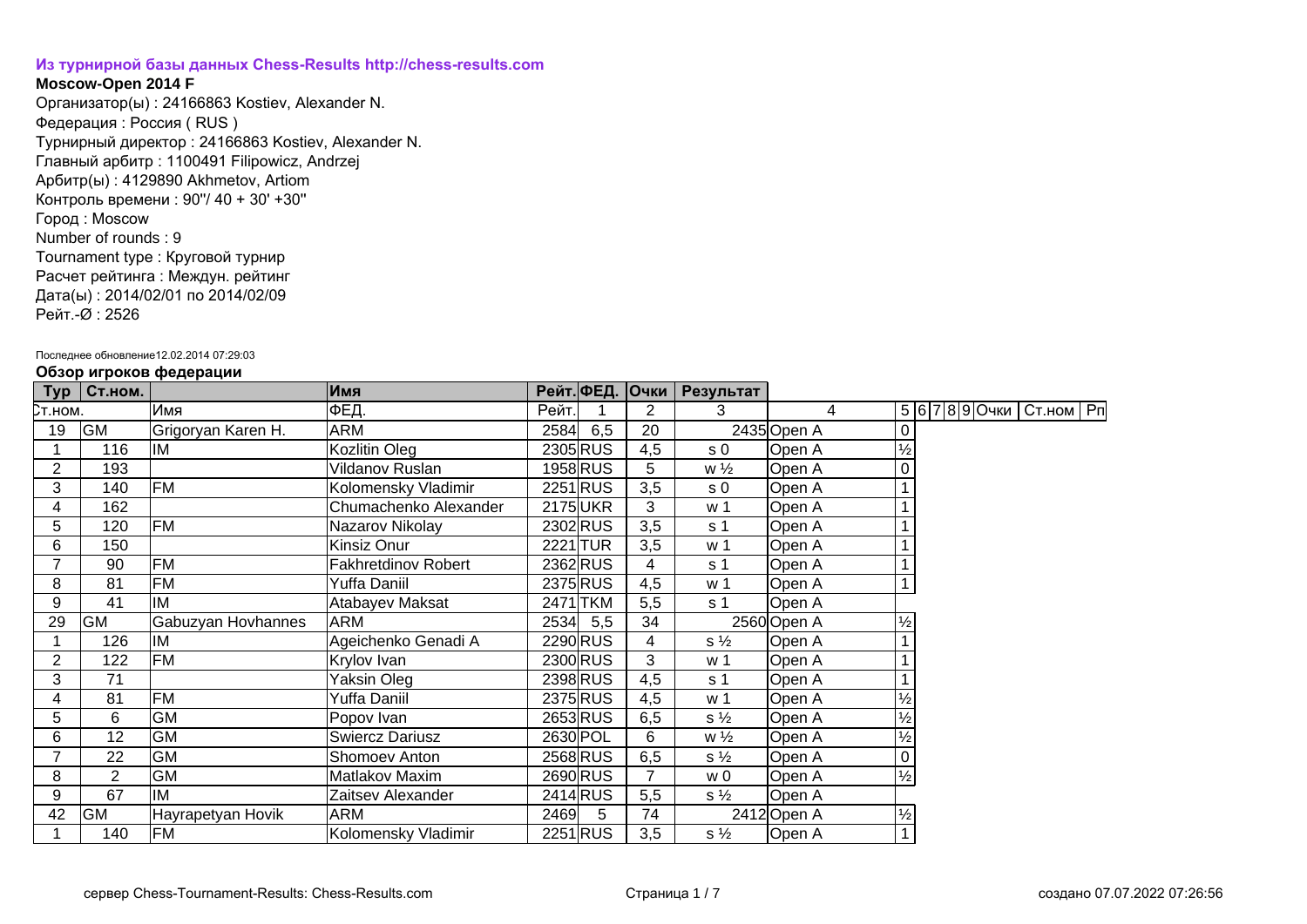## **[Из турнирной базы данных Chess-Results http://chess-results.com](http://chess-results.com/)**

## **Moscow-Open 2014 F**

Организатор(ы) : 24166863 Kostiev, Alexander N. Федерация : Россия ( RUS ) Турнирный директор : 24166863 Kostiev, Alexander N. Главный арбитр : 1100491 Filipowicz, Andrzej Арбитр(ы) : 4129890 Akhmetov, Artiom Контроль времени : 90''/ 40 + 30' +30'' Город : Moscow Number of rounds : 9 Tournament type : Круговой турнир Расчет рейтинга : Междун. рейтинг Дата(ы) : 2014/02/01 по 2014/02/09 Рейт.-Ø : 2526

## Последнее обновление12.02.2014 07:29:03

| Typ            | Ст.ном.        | .                  | Имя                        |       |          |                | Рейт. ФЕД. Очки   Результат |                |               |  |                              |  |
|----------------|----------------|--------------------|----------------------------|-------|----------|----------------|-----------------------------|----------------|---------------|--|------------------------------|--|
| Ст.ном.        |                | Имя                | ФЕД.                       | Рейт. |          | 2              | 3                           | $\overline{4}$ |               |  | 5 6 7 8 9 Очки   Ст.ном   Рп |  |
| 19             | <b>GM</b>      | Grigoryan Karen H. | <b>ARM</b>                 | 2584  | 6,5      | 20             |                             | 2435 Open A    |               |  |                              |  |
|                | 116            | IM                 | Kozlitin Oleg              |       | 2305 RUS | 4,5            | s 0                         | Open A         | $\frac{1}{2}$ |  |                              |  |
| 2              | 193            |                    | Vildanov Ruslan            |       | 1958 RUS | 5              | $w\frac{1}{2}$              | Open A         |               |  |                              |  |
| 3              | 140            | FM                 | Kolomensky Vladimir        |       | 2251 RUS | 3,5            | s <sub>0</sub>              | Open A         |               |  |                              |  |
| 4              | 162            |                    | Chumachenko Alexander      |       | 2175 UKR | 3              | w 1                         | Open A         |               |  |                              |  |
| 5              | 120            | <b>FM</b>          | Nazarov Nikolay            |       | 2302 RUS | 3,5            | s <sub>1</sub>              | Open A         |               |  |                              |  |
| 6              | 150            |                    | Kinsiz Onur                |       | 2221 TUR | 3,5            | w 1                         | Open A         |               |  |                              |  |
| $\overline{ }$ | 90             | FM                 | <b>Fakhretdinov Robert</b> |       | 2362RUS  | 4              | s 1                         | Open A         |               |  |                              |  |
| 8              | 81             | <b>FM</b>          | Yuffa Daniil               |       | 2375 RUS | 4,5            | w 1                         | Open A         |               |  |                              |  |
| 9              | 41             | IM                 | Atabayev Maksat            |       | 2471 TKM | 5,5            | s 1                         | Open A         |               |  |                              |  |
| 29             | <b>GM</b>      | Gabuzyan Hovhannes | <b>ARM</b>                 |       | 2534 5,5 | 34             |                             | 2560 Open A    | $\frac{1}{2}$ |  |                              |  |
|                | 126            | IM                 | Ageichenko Genadi A        |       | 2290 RUS | 4              | $s\frac{1}{2}$              | Open A         |               |  |                              |  |
| 2              | 122            | FM                 | Krylov Ivan                |       | 2300 RUS | 3              | w 1                         | Open A         |               |  |                              |  |
| 3              | 71             |                    | Yaksin Oleg                |       | 2398 RUS | 4,5            | s 1                         | Open A         |               |  |                              |  |
| 4              | 81             | <b>FM</b>          | Yuffa Daniil               |       | 2375 RUS | 4,5            | w 1                         | Open A         | ⅛             |  |                              |  |
| 5              | 6              | <b>GM</b>          | Popov Ivan                 |       | 2653 RUS | 6,5            | $s\frac{1}{2}$              | Open A         | $\frac{1}{2}$ |  |                              |  |
| 6              | 12             | <b>GM</b>          | <b>Swiercz Dariusz</b>     |       | 2630 POL | 6              | $w\frac{1}{2}$              | Open A         | $\frac{1}{2}$ |  |                              |  |
| 7              | 22             | <b>GM</b>          | Shomoev Anton              |       | 2568 RUS | 6,5            | $s\frac{1}{2}$              | Open A         |               |  |                              |  |
| 8              | $\overline{2}$ | <b>GM</b>          | Matlakov Maxim             |       | 2690 RUS | $\overline{7}$ | w 0                         | Open A         | $\frac{1}{2}$ |  |                              |  |
| 9              | 67             | IM                 | Zaitsev Alexander          |       | 2414 RUS | 5,5            | $s\frac{1}{2}$              | Open A         |               |  |                              |  |
| 42             | GM             | Hayrapetyan Hovik  | <b>ARM</b>                 | 2469  | 5        | 74             |                             | 2412 Open A    | $\frac{1}{2}$ |  |                              |  |
|                | 140            | <b>FM</b>          | Kolomensky Vladimir        |       | 2251 RUS | 3,5            | $s\frac{1}{2}$              | Open A         |               |  |                              |  |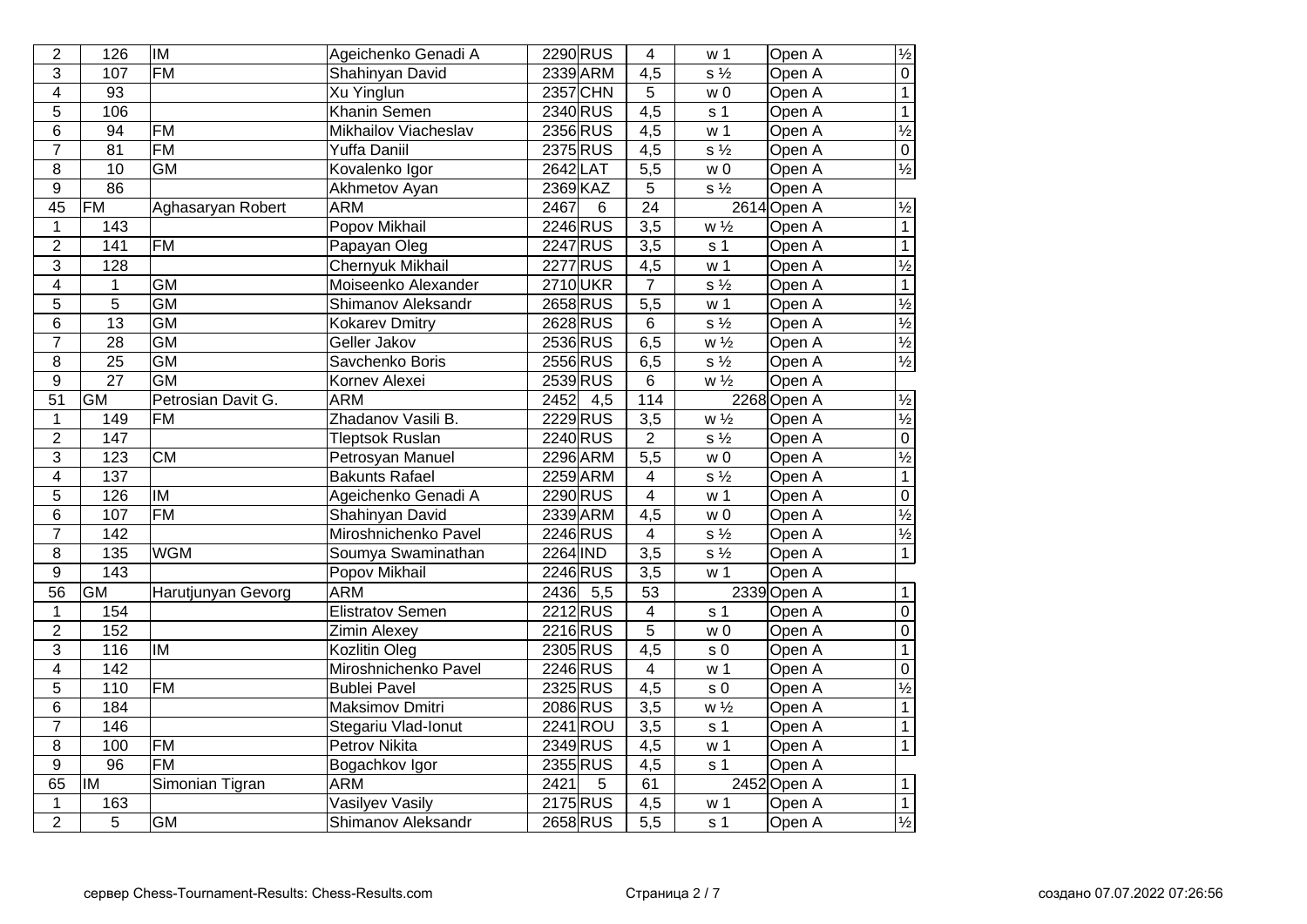| $\overline{2}$          | 126              | <b>IM</b>                | Ageichenko Genadi A     | 2290 RUS                 | 4                | w 1                       | Open A      | $\frac{1}{2}$            |
|-------------------------|------------------|--------------------------|-------------------------|--------------------------|------------------|---------------------------|-------------|--------------------------|
| $\overline{3}$          | 107              | $\overline{FM}$          | Shahinyan David         | 2339 ARM                 | $\overline{4,5}$ | $s\frac{1}{2}$            | Open A      | $\overline{0}$           |
| $\overline{\mathbf{4}}$ | $\overline{93}$  |                          | Xu Yinglun              | <b>2357 CHN</b>          | 5                | w <sub>0</sub>            | Open A      | $\overline{1}$           |
| $\overline{5}$          | 106              |                          | <b>Khanin Semen</b>     | 2340 RUS                 | $\overline{4,5}$ | s <sub>1</sub>            | Open A      | $\overline{1}$           |
| 6                       | 94               | <b>FM</b>                | Mikhailov Viacheslav    | 2356 RUS                 | 4,5              | w <sub>1</sub>            | Open A      | $\frac{1}{2}$            |
| $\overline{7}$          | 81               | <b>FM</b>                | <b>Yuffa Daniil</b>     | 2375 RUS                 | 4,5              | $s\frac{1}{2}$            | Open A      | $\overline{0}$           |
| $\overline{8}$          | 10               | <b>GM</b>                | Kovalenko Igor          | 2642 LAT                 | 5,5              | w <sub>0</sub>            | Open A      | $\frac{1}{2}$            |
| $\overline{9}$          | 86               |                          | Akhmetov Ayan           | 2369 KAZ                 | 5                | $\overline{s\frac{1}{2}}$ | Open A      |                          |
| 45                      | FM               | Aghasaryan Robert        | <b>ARM</b>              | 2467<br>6                | $\overline{24}$  |                           | 2614 Open A | $\frac{1}{2}$            |
| $\mathbf 1$             | 143              |                          | Popov Mikhail           | 2246 RUS                 | $\overline{3,5}$ | $w\frac{1}{2}$            | Open A      | $\overline{1}$           |
| $\overline{2}$          | 141              | $\overline{FM}$          | Papayan Oleg            | 2247 RUS                 | $\overline{3,5}$ | s <sub>1</sub>            | Open A      | $\overline{1}$           |
| $\overline{3}$          | 128              |                          | <b>Chernyuk Mikhail</b> | 2277 RUS                 | 4,5              | w <sub>1</sub>            | Open A      | $\frac{1}{2}$            |
| $\overline{\mathbf{4}}$ | 1                | $\overline{GM}$          | Moiseenko Alexander     | 2710UKR                  | $\overline{7}$   | $s\frac{1}{2}$            | Open A      | $\overline{1}$           |
| 5                       | $\overline{5}$   | $\overline{GM}$          | Shimanov Aleksandr      | 2658 RUS                 | $\overline{5,5}$ | w <sub>1</sub>            | Open A      | $\frac{1}{2}$            |
| $6\phantom{a}$          | $\overline{13}$  | $\overline{GM}$          | <b>Kokarev Dmitry</b>   | 2628 RUS                 | $\overline{6}$   | $s\frac{1}{2}$            | Open A      | $\overline{\frac{1}{2}}$ |
| $\overline{7}$          | $\overline{28}$  | <b>GM</b>                | Geller Jakov            | 2536 RUS                 | 6,5              | $w\frac{1}{2}$            | Open A      | $\frac{1}{2}$            |
| $\overline{8}$          | $\overline{25}$  | $\overline{GM}$          | Savchenko Boris         | 2556 RUS                 | 6,5              | $s\frac{1}{2}$            | Open A      | $\frac{1}{2}$            |
| $\overline{9}$          | $\overline{27}$  | <b>GM</b>                | Kornev Alexei           | 2539RUS                  | $6\overline{6}$  | $W\frac{1}{2}$            | Open A      |                          |
| 51                      | $\overline{GM}$  | Petrosian Davit G.       | <b>ARM</b>              | 2452<br>4,5              | 114              |                           | 2268 Open A | $\frac{1}{2}$            |
| $\mathbf 1$             | 149              | <b>FM</b>                | Zhadanov Vasili B.      | 2229 RUS                 | 3,5              | $W\frac{1}{2}$            | Open A      | $\overline{\frac{1}{2}}$ |
| $\overline{2}$          | 147              |                          | <b>Tleptsok Ruslan</b>  | 2240 RUS                 | $\overline{2}$   | $s\frac{1}{2}$            | Open A      | $\overline{0}$           |
| 3                       | 123              | $\overline{\text{CM}}$   | Petrosyan Manuel        | 2296 ARM                 | $\overline{5,5}$ | w <sub>0</sub>            | Open A      | $\overline{\frac{1}{2}}$ |
| $\overline{4}$          | $\overline{137}$ |                          | <b>Bakunts Rafael</b>   | 2259 ARM                 | $\overline{4}$   | $s\frac{1}{2}$            | Open A      | $\overline{1}$           |
| $\overline{5}$          | 126              | $\overline{\mathsf{IM}}$ | Ageichenko Genadi A     | 2290 RUS                 | $\overline{4}$   | w <sub>1</sub>            | Open A      | $\overline{0}$           |
| 6                       | 107              | $\overline{FM}$          | Shahinyan David         | 2339 ARM                 | $\overline{4,5}$ | $\overline{w}$ 0          | Open A      | $\overline{\frac{1}{2}}$ |
| $\overline{7}$          | 142              |                          | Miroshnichenko Pavel    | 2246 RUS                 | $\overline{4}$   | $s\frac{1}{2}$            | Open A      | $\overline{\frac{1}{2}}$ |
| $\overline{8}$          | 135              | <b>WGM</b>               | Soumya Swaminathan      | 2264 IND                 | $\overline{3,5}$ | $s\frac{1}{2}$            | Open A      | $\overline{1}$           |
| $\overline{9}$          | $\frac{143}{x}$  |                          | Popov Mikhail           | 2246 RUS                 | $\overline{3,5}$ | w <sub>1</sub>            | Open A      |                          |
| $\overline{56}$         | <b>GM</b>        | Harutjunyan Gevorg       | <b>ARM</b>              | 2436<br>$\overline{5,5}$ | $\overline{53}$  |                           | 2339 Open A | $\overline{1}$           |
| $\mathbf{1}$            | 154              |                          | Elistratov Semen        | 2212RUS                  | 4                | s <sub>1</sub>            | Open A      | $\overline{0}$           |
| $\overline{2}$          | 152              |                          | Zimin Alexey            | 2216 RUS                 | $\overline{5}$   | w <sub>0</sub>            | Open A      | $\overline{0}$           |
| $\overline{3}$          | 116              | IM                       | Kozlitin Oleg           | 2305 RUS                 | $\overline{4,5}$ | s <sub>0</sub>            | Open A      | $\overline{1}$           |
| $\overline{\mathbf{4}}$ | 142              |                          | Miroshnichenko Pavel    | 2246 RUS                 | 4                | w <sub>1</sub>            | Open A      | $\overline{0}$           |
| $\overline{5}$          | 110              | $\overline{FM}$          | <b>Bublei Pavel</b>     | 2325 RUS                 | $\overline{4,5}$ | $\sqrt{s}$ 0              | Open A      | $\overline{\frac{1}{2}}$ |
| 6                       | 184              |                          | <b>Maksimov Dmitri</b>  | 2086 RUS                 | $\overline{3,5}$ | $W\frac{1}{2}$            | Open A      | $\overline{1}$           |
| $\overline{7}$          | $\overline{146}$ |                          | Stegariu Vlad-Ionut     | $2241$ ROU               | $\overline{3,5}$ | s <sub>1</sub>            | Open A      | $\overline{1}$           |
| 8                       | 100              | $\overline{FM}$          | <b>Petrov Nikita</b>    | 2349 RUS                 | 4,5              | w <sub>1</sub>            | Open A      | $\overline{1}$           |
| $\boldsymbol{9}$        | $\overline{96}$  | $\overline{FM}$          | Bogachkov Igor          | 2355 RUS                 | 4,5              | s <sub>1</sub>            | Open A      |                          |
| 65                      | lıM              | Simonian Tigran          | <b>ARM</b>              | 2421<br>5                | 61               |                           | 2452 Open A | $\mathbf{1}$             |
| $\mathbf 1$             | 163              |                          | Vasilyev Vasily         | 2175 RUS                 | $\overline{4,5}$ | w <sub>1</sub>            | Open A      | $\overline{1}$           |
| $\overline{2}$          | 5                | $\overline{GM}$          | Shimanov Aleksandr      | 2658 RUS                 | $\overline{5,5}$ | s <sub>1</sub>            | Open A      | $\frac{1}{2}$            |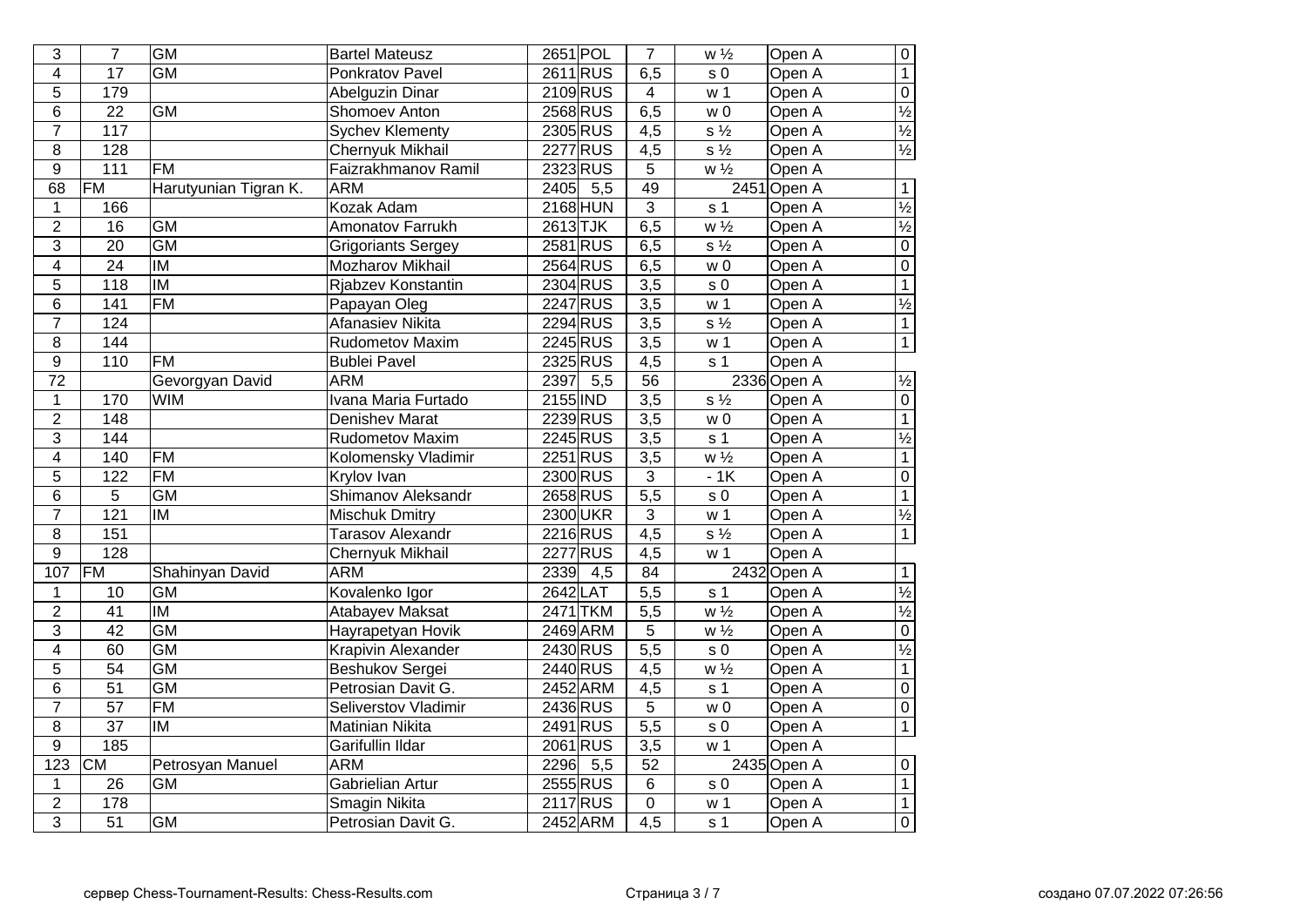| 3                       | $\overline{7}$    | <b>GM</b>                | <b>Bartel Mateusz</b>     | 2651 POL        | $\overline{7}$   | $w\sqrt{2}$               | Open A      | $\overline{0}$           |
|-------------------------|-------------------|--------------------------|---------------------------|-----------------|------------------|---------------------------|-------------|--------------------------|
| $\overline{4}$          | $\overline{17}$   | GM                       | Ponkratov Pavel           | 2611RUS         | 6,5              | s <sub>0</sub>            | Open A      | $\overline{1}$           |
| 5                       | 179               |                          | <b>Abelguzin Dinar</b>    | 2109 RUS        | $\overline{4}$   | w <sub>1</sub>            | Open A      | $\overline{0}$           |
| 6                       | $\overline{22}$   | <b>GM</b>                | <b>Shomoev Anton</b>      | 2568 RUS        | 6,5              | W <sub>0</sub>            | Open A      | $\frac{1}{2}$            |
| $\overline{7}$          | 117               |                          | <b>Sychev Klementy</b>    | 2305 RUS        | 4,5              | $s\frac{1}{2}$            | Open A      | $\frac{1}{2}$            |
| 8                       | 128               |                          | <b>Chernyuk Mikhail</b>   | 2277 RUS        | 4,5              | $\overline{s\frac{1}{2}}$ | Open A      | $\frac{1}{2}$            |
| 9                       | $\frac{111}{111}$ | <b>FM</b>                | Faizrakhmanov Ramil       | 2323 RUS        | 5                | $W\frac{1}{2}$            | Open A      |                          |
| 68                      | FM                | Harutyunian Tigran K.    | <b>ARM</b>                | 2405<br>5,5     | 49               |                           | 2451 Open A | $\mathbf{1}$             |
| $\mathbf{1}$            | 166               |                          | Kozak Adam                | 2168 HUN        | $\overline{3}$   | s <sub>1</sub>            | Open A      | $\frac{1}{2}$            |
| $\overline{2}$          | 16                | <b>GM</b>                | Amonatov Farrukh          | 2613 TJK        | 6,5              | $w\frac{1}{2}$            | Open A      | $\frac{1}{2}$            |
| 3                       | 20                | <b>GM</b>                | <b>Grigoriants Sergey</b> | 2581 RUS        | 6,5              | $s\frac{1}{2}$            | Open A      | $\overline{0}$           |
| $\overline{4}$          | 24                | <b>IM</b>                | Mozharov Mikhail          | 2564 RUS        | 6,5              | w <sub>0</sub>            | Open A      | $\overline{0}$           |
| 5                       | 118               | $\overline{\mathsf{I}}$  | Rjabzev Konstantin        | 2304 RUS        | 3,5              | s <sub>0</sub>            | Open A      | $\overline{1}$           |
| 6                       | 141               | <b>FM</b>                | Papayan Oleg              | 2247 RUS        | 3,5              | w <sub>1</sub>            | Open A      | $\frac{1}{2}$            |
| $\overline{7}$          | 124               |                          | Afanasiev Nikita          | 2294 RUS        | 3,5              | $s\frac{1}{2}$            | Open A      | $\overline{1}$           |
| 8                       | 144               |                          | Rudometov Maxim           | 2245 RUS        | 3,5              | w <sub>1</sub>            | Open A      | $\overline{1}$           |
| $\overline{9}$          | $\overline{110}$  | <b>FM</b>                | <b>Bublei Pavel</b>       | 2325 RUS        | 4,5              | s <sub>1</sub>            | Open A      |                          |
| $\overline{72}$         |                   | Gevorgyan David          | <b>ARM</b>                | 5,5<br>2397     | 56               |                           | 2336 Open A | $\frac{1}{2}$            |
| $\mathbf 1$             | 170               | <b>WIM</b>               | Ivana Maria Furtado       | 2155 IND        | $\overline{3,5}$ | $s\frac{1}{2}$            | Open A      | $\overline{0}$           |
| $\overline{2}$          | $\overline{148}$  |                          | <b>Denishev Marat</b>     | 2239RUS         | $\overline{3,5}$ | w <sub>0</sub>            | Open A      | $\overline{1}$           |
| 3                       | 144               |                          | <b>Rudometov Maxim</b>    | 2245 RUS        | 3,5              | s <sub>1</sub>            | Open A      | $\overline{\frac{1}{2}}$ |
| $\overline{4}$          | 140               | <b>FM</b>                | Kolomensky Vladimir       | $2251$ RUS      | 3,5              | $W\frac{1}{2}$            | Open A      | $\overline{1}$           |
| 5                       | 122               | F M                      | Krylov Ivan               | 2300 RUS        | $\overline{3}$   | $-1K$                     | Open A      | $\overline{0}$           |
| $\overline{6}$          | $\overline{5}$    | <b>GM</b>                | Shimanov Aleksandr        | 2658 RUS        | $\overline{5,5}$ | $\sqrt{s}$ 0              | Open A      | $\overline{1}$           |
| $\overline{7}$          | 121               | IM                       | <b>Mischuk Dmitry</b>     | 2300 UKR        | $\overline{3}$   | w <sub>1</sub>            | Open A      | $\overline{\frac{1}{2}}$ |
| 8                       | 151               |                          | <b>Tarasov Alexandr</b>   | 2216 RUS        | $\overline{4,5}$ | $s\frac{1}{2}$            | Open A      | $\overline{1}$           |
| $\overline{9}$          | $\overline{128}$  |                          | Chernyuk Mikhail          | <b>2277 RUS</b> | $\overline{4,5}$ | w <sub>1</sub>            | Open A      |                          |
| 107                     | FM                | Shahinyan David          | <b>ARM</b>                | 2339<br>4,5     | $\overline{84}$  |                           | 2432 Open A | $\mathbf{1}$             |
| $\mathbf 1$             | 10                | <b>GM</b>                | Kovalenko Igor            | 2642 LAT        | $\overline{5,5}$ | s <sub>1</sub>            | Open A      | $\overline{\frac{1}{2}}$ |
| $\overline{2}$          | $\overline{41}$   | $\overline{\mathsf{IM}}$ | <b>Atabayev Maksat</b>    | 2471 TKM        | $\overline{5,5}$ | $\overline{w\frac{1}{2}}$ | Open A      | $\overline{\frac{1}{2}}$ |
| $\overline{3}$          | $\overline{42}$   | <b>GM</b>                | Hayrapetyan Hovik         | 2469 ARM        | $\overline{5}$   | $w\frac{1}{2}$            | Open A      | $\overline{0}$           |
| $\overline{\mathbf{4}}$ | 60                | <b>GM</b>                | <b>Krapivin Alexander</b> | 2430 RUS        | $\overline{5,5}$ | $\sqrt{s}$ 0              | Open A      | $\overline{\frac{1}{2}}$ |
| 5                       | $\overline{54}$   | <b>GM</b>                | Beshukov Sergei           | 2440 RUS        | $\overline{4,5}$ | $W\frac{1}{2}$            | Open A      | $\overline{1}$           |
| $\overline{6}$          | $\overline{51}$   | <b>GM</b>                | Petrosian Davit G.        | 2452 ARM        | $\overline{4,5}$ | s <sub>1</sub>            | Open A      | $\overline{0}$           |
| $\overline{7}$          | $\overline{57}$   | <b>FM</b>                | Seliverstov Vladimir      | 2436 RUS        | $\overline{5}$   | w <sub>0</sub>            | Open A      | $\overline{0}$           |
| 8                       | $\overline{37}$   | IM                       | Matinian Nikita           | 2491 RUS        | $\frac{1}{5,5}$  | s <sub>0</sub>            | Open A      | $\overline{1}$           |
| $\boldsymbol{9}$        | 185               |                          | Garifullin Ildar          | 2061 RUS        | 3,5              | w <sub>1</sub>            | Open A      |                          |
| 123                     | CM                | Petrosyan Manuel         | <b>ARM</b>                | 2296<br>5,5     | 52               |                           | 2435 Open A | $\mathbf 0$              |
| $\mathbf 1$             | 26                | <b>GM</b>                | Gabrielian Artur          | 2555 RUS        | $\overline{6}$   | s <sub>0</sub>            | Open A      | $\overline{1}$           |
| $\overline{2}$          | 178               |                          | <b>Smagin Nikita</b>      | 2117 RUS        | $\overline{0}$   | w <sub>1</sub>            | Open A      | $\overline{1}$           |
| $\overline{3}$          | $\overline{51}$   | <b>GM</b>                | Petrosian Davit G.        | 2452 ARM        | $\overline{4,5}$ | s <sub>1</sub>            | Open A      | $\overline{0}$           |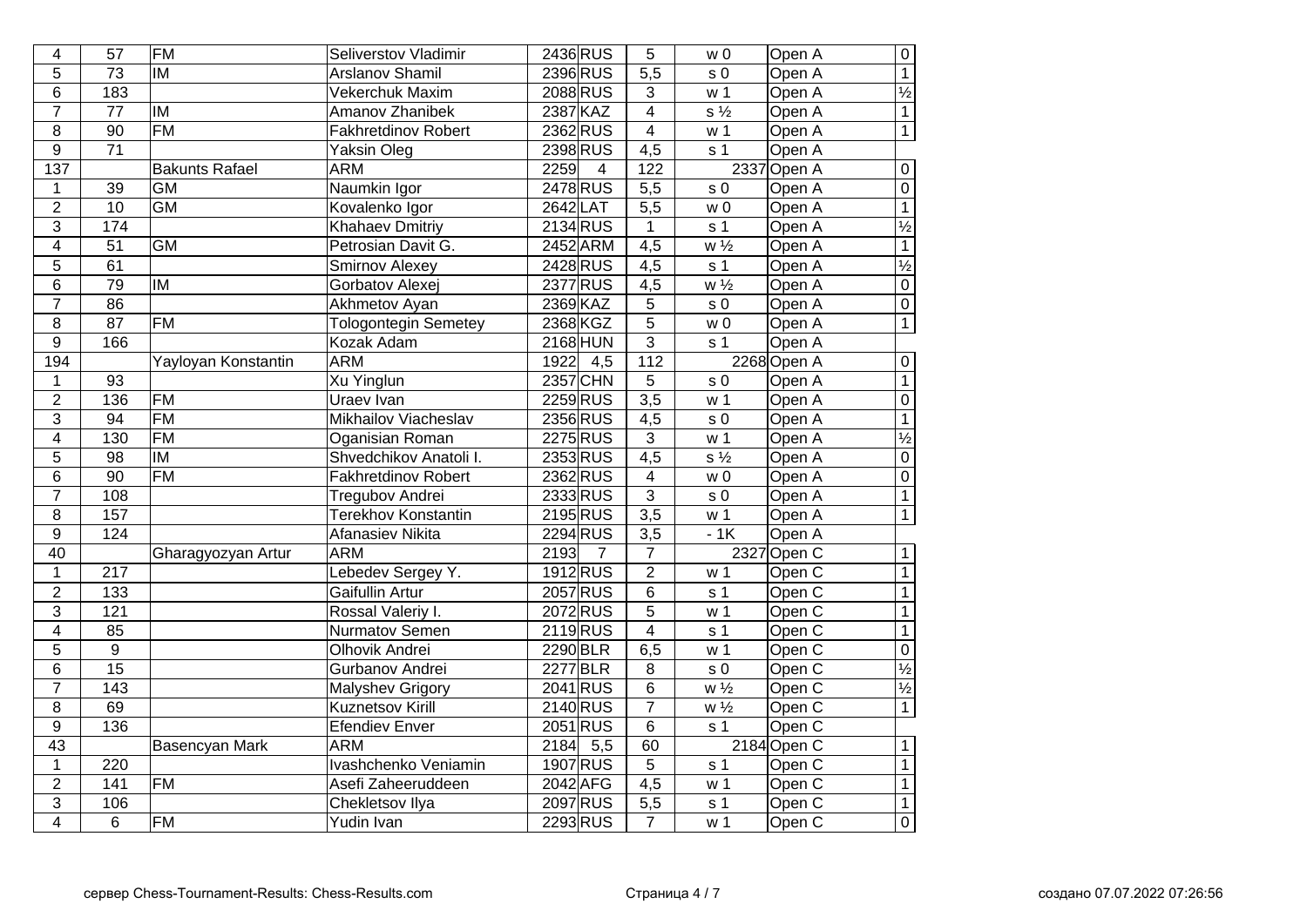| $\overline{4}$   | $\overline{57}$  | <b>FM</b>             | Seliverstov Vladimir        | 2436 RUS                 | 5                       | W <sub>0</sub>            | Open A            | $\overline{0}$           |
|------------------|------------------|-----------------------|-----------------------------|--------------------------|-------------------------|---------------------------|-------------------|--------------------------|
| 5                | $\overline{73}$  | <b>IM</b>             | <b>Arslanov Shamil</b>      | 2396 RUS                 | $\overline{5,5}$        | s <sub>0</sub>            | Open A            | $\overline{1}$           |
| 6                | 183              |                       | Vekerchuk Maxim             | 2088 RUS                 | $\mathbf{3}$            | w <sub>1</sub>            | Open A            | $\frac{1}{2}$            |
| $\overline{7}$   | 77               | lм                    | <b>Amanov Zhanibek</b>      | 2387 KAZ                 | $\overline{4}$          | $s\frac{1}{2}$            | Open A            | $\overline{1}$           |
| $\bf 8$          | 90               | FM                    | <b>Fakhretdinov Robert</b>  | 2362 RUS                 | $\overline{\mathbf{4}}$ | w <sub>1</sub>            | Open A            | $\overline{1}$           |
| 9                | 71               |                       | Yaksin Oleg                 | 2398 RUS                 | 4,5                     | s <sub>1</sub>            | Open A            |                          |
| $\overline{137}$ |                  | <b>Bakunts Rafael</b> | <b>ARM</b>                  | 2259<br>$\overline{4}$   | 122                     |                           | 2337 Open A       | $\pmb{0}$                |
| 1                | 39               | <b>GM</b>             | Naumkin Igor                | 2478 RUS                 | 5,5                     | s <sub>0</sub>            | Open A            | $\overline{0}$           |
| $\overline{2}$   | 10               | <b>GM</b>             | Kovalenko Igor              | 2642 LAT                 | $\overline{5,5}$        | W <sub>0</sub>            | Open A            | $\overline{1}$           |
| 3                | 174              |                       | <b>Khahaev Dmitriy</b>      | 2134 RUS                 | $\mathbf{1}$            | s <sub>1</sub>            | Open A            | $\frac{1}{2}$            |
| 4                | $\overline{51}$  | $\overline{GM}$       | Petrosian Davit G.          | 2452 ARM                 | $\overline{4,5}$        | $w\frac{1}{2}$            | Open A            | $\overline{1}$           |
| $\overline{5}$   | 61               |                       | <b>Smirnov Alexey</b>       | 2428 RUS                 | $\overline{4,5}$        | s <sub>1</sub>            | Open A            | $\overline{\frac{1}{2}}$ |
| $\overline{6}$   | $\overline{79}$  | IM                    | Gorbatov Alexej             | 2377 RUS                 | $\overline{4,5}$        | $\overline{w\frac{1}{2}}$ | Open A            | $\overline{0}$           |
| $\overline{7}$   | $\overline{86}$  |                       | Akhmetov Ayan               | 2369 KAZ                 | $\overline{5}$          | s <sub>0</sub>            | Open A            | $\overline{0}$           |
| 8                | $\overline{87}$  | $\overline{FM}$       | <b>Tologontegin Semetey</b> | 2368 KGZ                 | $\overline{5}$          | w <sub>0</sub>            | Open A            | $\overline{1}$           |
| $\boldsymbol{9}$ | 166              |                       | Kozak Adam                  | <b>2168 HUN</b>          | 3                       | s <sub>1</sub>            | Open A            |                          |
| 194              |                  | Yayloyan Konstantin   | <b>ARM</b>                  | 1922<br>4,5              | $\overline{112}$        |                           | 2268 Open A       | $\mathbf 0$              |
| $\mathbf 1$      | 93               |                       | <b>Xu Yinglun</b>           | 2357 CHN                 | $\overline{5}$          | s <sub>0</sub>            | Open A            | $\overline{1}$           |
| $\overline{2}$   | 136              | <b>FM</b>             | Uraev Ivan                  | 2259 RUS                 | $\overline{3,5}$        | w <sub>1</sub>            | Open A            | $\overline{0}$           |
| $\overline{3}$   | 94               | <b>FM</b>             | Mikhailov Viacheslav        | 2356 RUS                 | $\overline{4,5}$        | s <sub>0</sub>            | Open A            | $\overline{1}$           |
| 4                | 130              | <b>FM</b>             | Oganisian Roman             | 2275 RUS                 | $\overline{3}$          | w <sub>1</sub>            | Open A            | $\overline{\frac{1}{2}}$ |
| $\overline{5}$   | 98               | <b>IM</b>             | Shvedchikov Anatoli I.      | 2353RUS                  | $\overline{4,5}$        | $s\frac{1}{2}$            | Open A            | $\overline{0}$           |
| $\overline{6}$   | $\overline{90}$  | $\overline{FM}$       | <b>Fakhretdinov Robert</b>  | 2362RUS                  | $\overline{4}$          | w <sub>0</sub>            | Open A            | $\overline{0}$           |
| $\overline{7}$   | 108              |                       | <b>Tregubov Andrei</b>      | 2333RUS                  | $\overline{3}$          | s <sub>0</sub>            | Open A            | $\overline{1}$           |
| $\overline{8}$   | 157              |                       | <b>Terekhov Konstantin</b>  | 2195 RUS                 | $\overline{3,5}$        | w <sub>1</sub>            | Open A            | $\overline{1}$           |
| $\overline{9}$   | 124              |                       | <b>Afanasiev Nikita</b>     | 2294 RUS                 | $\overline{3,5}$        | $-1K$                     | Open A            |                          |
| 40               |                  | Gharagyozyan Artur    | <b>ARM</b>                  | 2193<br>7                | 7                       |                           | 2327 Open C       | $\overline{1}$           |
| $\mathbf 1$      | 217              |                       | Lebedev Sergey Y.           | 1912RUS                  | $\overline{2}$          | w <sub>1</sub>            | Open <sub>C</sub> | $\overline{1}$           |
| $\overline{2}$   | 133              |                       | Gaifullin Artur             | 2057 RUS                 | $\overline{6}$          | s <sub>1</sub>            | Open C            | $\overline{1}$           |
| $\overline{3}$   | $\overline{121}$ |                       | Rossal Valeriy I.           | 2072RUS                  | $\overline{5}$          | w <sub>1</sub>            | Open C            | $\overline{1}$           |
| $\overline{4}$   | 85               |                       | <b>Nurmatov Semen</b>       | 2119RUS                  | $\overline{4}$          | s <sub>1</sub>            | Open C            | $\overline{1}$           |
| $\overline{5}$   | $\boldsymbol{9}$ |                       | <b>Olhovik Andrei</b>       | 2290 BLR                 | 6,5                     | w <sub>1</sub>            | Open C            | $\overline{0}$           |
| $\overline{6}$   | $\overline{15}$  |                       | Gurbanov Andrei             | 2277 BLR                 | 8                       | s <sub>0</sub>            | Open C            | $\overline{\frac{1}{2}}$ |
| $\overline{7}$   | $\overline{143}$ |                       | <b>Malyshev Grigory</b>     | 2041 RUS                 | $\overline{6}$          | $\overline{w\frac{1}{2}}$ | Open C            | $\overline{\frac{1}{2}}$ |
| $\overline{8}$   | 69               |                       | Kuznetsov Kirill            | 2140 RUS                 | $\overline{7}$          | $\overline{w\frac{1}{2}}$ | Open C            | $\overline{1}$           |
| $\overline{9}$   | 136              |                       | <b>Efendiev Enver</b>       | 2051 RUS                 | $\overline{6}$          | s <sub>1</sub>            | Open C            |                          |
| $\overline{43}$  |                  | Basencyan Mark        | <b>ARM</b>                  | 2184<br>$\overline{5,5}$ | 60                      |                           | 2184 Open C       | $\mathbf{1}$             |
| $\mathbf{1}$     | $\overline{220}$ |                       | Ivashchenko Veniamin        | 1907 RUS                 | $\overline{5}$          | s <sub>1</sub>            | Open C            | $\overline{1}$           |
| $\overline{2}$   | 141              | <b>FM</b>             | Asefi Zaheeruddeen          | 2042 AFG                 | $\overline{4,5}$        | w <sub>1</sub>            | Open C            | $\overline{1}$           |
| $\overline{3}$   | 106              |                       | <b>Chekletsov Ilya</b>      | 2097 RUS                 | $\overline{5,5}$        | $\overline{s}$ 1          | Open C            | $\overline{1}$           |
| $\overline{4}$   | 6                | <b>FM</b>             | Yudin Ivan                  | 2293 RUS                 | $\overline{7}$          | w 1                       | Open C            | $\overline{0}$           |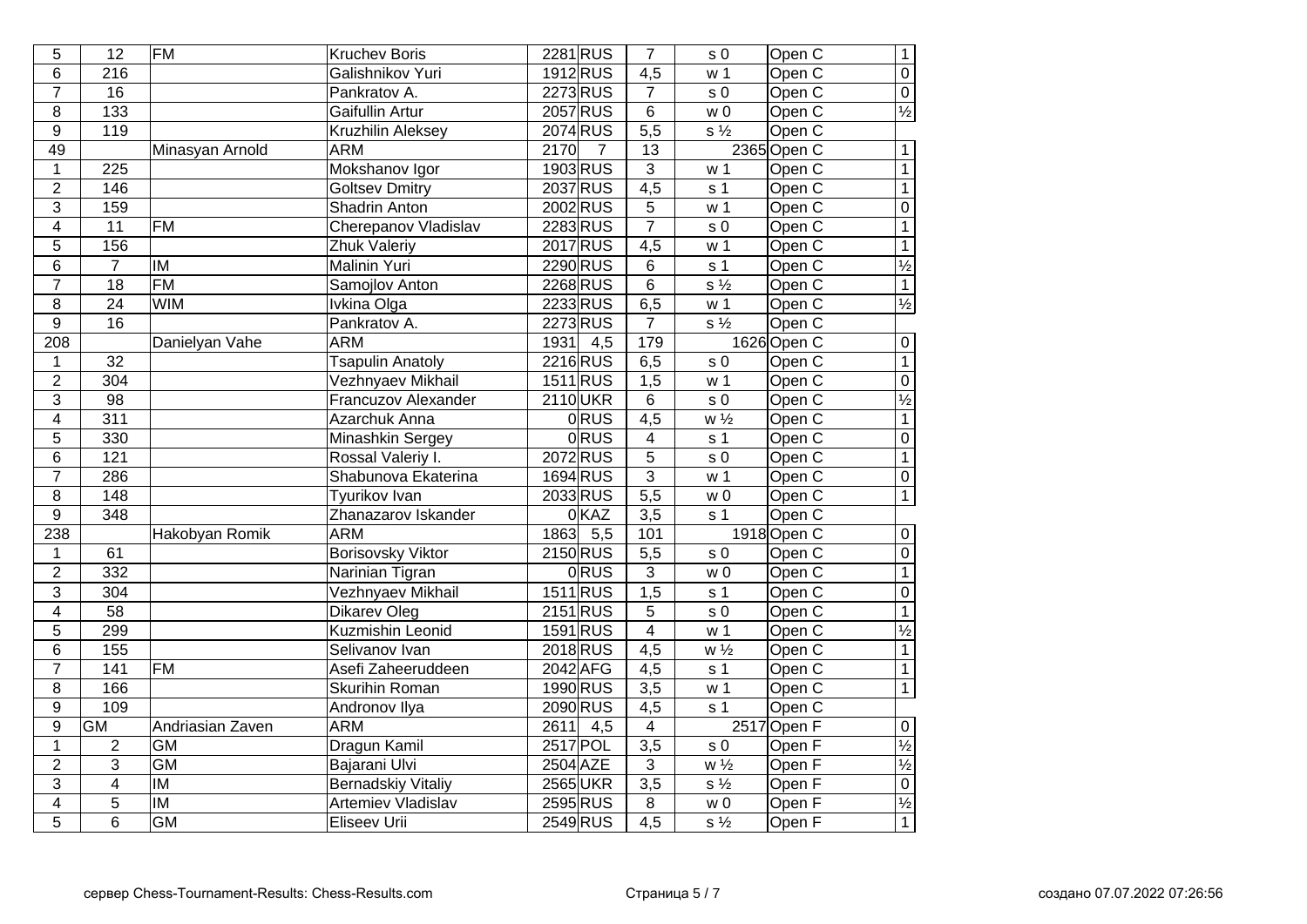| 5              | $\overline{12}$  | <b>FM</b>               | <b>Kruchev Boris</b>      | 2281 RUS                 | $\overline{7}$   | s <sub>0</sub>              | Open C            | $\overline{1}$           |
|----------------|------------------|-------------------------|---------------------------|--------------------------|------------------|-----------------------------|-------------------|--------------------------|
| 6              | $\frac{216}{ }$  |                         | Galishnikov Yuri          | 1912 RUS                 | $\overline{4,5}$ | w <sub>1</sub>              | Open <sub>C</sub> | $\overline{0}$           |
| $\overline{7}$ | $\overline{16}$  |                         | Pankratov A.              | 2273 RUS                 | $\overline{7}$   | s <sub>0</sub>              | Open <sub>C</sub> | $\overline{0}$           |
| 8              | 133              |                         | Gaifullin Artur           | 2057 RUS                 | 6                | W <sub>0</sub>              | Open C            | $\frac{1}{2}$            |
| 9              | 119              |                         | Kruzhilin Aleksey         | 2074 RUS                 | $\overline{5,5}$ | $s\frac{1}{2}$              | Open C            |                          |
| 49             |                  | Minasyan Arnold         | <b>ARM</b>                | 2170<br>7                | 13               |                             | 2365 Open C       | $\mathbf{1}$             |
| $\mathbf 1$    | 225              |                         | Mokshanov Igor            | 1903 RUS                 | $\overline{3}$   | w <sub>1</sub>              | Open C            | $\overline{1}$           |
| $\overline{2}$ | 146              |                         | <b>Goltsev Dmitry</b>     | 2037 RUS                 | 4,5              | s <sub>1</sub>              | Open C            | $\overline{1}$           |
| $\overline{3}$ | 159              |                         | Shadrin Anton             | 2002 RUS                 | $\sqrt{5}$       | w <sub>1</sub>              | Open C            | $\overline{0}$           |
| $\overline{4}$ | $\overline{11}$  | <b>FM</b>               | Cherepanov Vladislav      | 2283 RUS                 | $\overline{7}$   | s <sub>0</sub>              | Open C            | $\overline{1}$           |
| 5              | 156              |                         | Zhuk Valeriy              | 2017 RUS                 | $\overline{4,5}$ | w <sub>1</sub>              | Open C            | $\overline{1}$           |
| $\overline{6}$ | $\overline{7}$   | $\overline{\mathsf{M}}$ | Malinin Yuri              | 2290 RUS                 | $\overline{6}$   | s <sub>1</sub>              | Open C            | $\frac{1}{2}$            |
| $\overline{7}$ | $\overline{18}$  | FM                      | Samojlov Anton            | 2268 RUS                 | $\overline{6}$   | $\overline{s\frac{1}{2}}$   | Open C            | $\overline{1}$           |
| 8              | $\overline{24}$  | <b>WIM</b>              | Ivkina Olga               | 2233 RUS                 | 6,5              | w <sub>1</sub>              | Open C            | $\frac{1}{2}$            |
| 9              | $\overline{16}$  |                         | Pankratov A.              | 2273 RUS                 | $\overline{7}$   | $s\frac{1}{2}$              | Open C            |                          |
| 208            |                  | Danielyan Vahe          | <b>ARM</b>                | 1931<br>4,5              | 179              |                             | 1626 Open C       | $\boldsymbol{0}$         |
| $\mathbf{1}$   | 32               |                         | <b>Tsapulin Anatoly</b>   | 2216 RUS                 | 6,5              | s <sub>0</sub>              | Open C            | $\overline{1}$           |
| $\overline{2}$ | $\overline{304}$ |                         | Vezhnyaev Mikhail         | 1511 RUS                 | $\overline{1,5}$ | w <sub>1</sub>              | Open <sub>C</sub> | $\overline{0}$           |
| 3              | $\overline{98}$  |                         | Francuzov Alexander       | 2110UKR                  | 6                | s <sub>0</sub>              | Open <sub>C</sub> | $\frac{1}{2}$            |
| $\overline{4}$ | $\overline{311}$ |                         | Azarchuk Anna             | <b>ORUS</b>              | $\overline{4,5}$ | $w\frac{1}{2}$              | Open C            | $\overline{1}$           |
| $\overline{5}$ | 330              |                         | Minashkin Sergey          | <b>ORUS</b>              | $\overline{4}$   | s <sub>1</sub>              | Open C            | $\overline{0}$           |
| $\overline{6}$ | $\overline{121}$ |                         | Rossal Valeriy I.         | 2072RUS                  | $\overline{5}$   | s <sub>0</sub>              | Open C            | $\overline{1}$           |
| $\overline{7}$ | 286              |                         | Shabunova Ekaterina       | 1694 RUS                 | $\overline{3}$   | $\overline{w}$ 1            | Open C            | $\overline{0}$           |
| $\overline{8}$ | 148              |                         | <b>Tyurikov Ivan</b>      | 2033 RUS                 | $\overline{5,5}$ | $\overline{w}$ 0            | Open C            | $\overline{1}$           |
| $\overline{9}$ | 348              |                         | Zhanazarov Iskander       | 0KAZ                     | $\overline{3,5}$ | s <sub>1</sub>              | Open C            |                          |
| 238            |                  | Hakobyan Romik          | <b>ARM</b>                | 1863<br>$\overline{5,5}$ | 101              |                             | 1918 Open C       | $\overline{0}$           |
| 1              | 61               |                         | <b>Borisovsky Viktor</b>  | 2150 RUS                 | $\overline{5,5}$ | s <sub>0</sub>              | Open C            | $\overline{0}$           |
| $\overline{2}$ | 332              |                         | Narinian Tigran           | 0RUS                     | $\overline{3}$   | w <sub>0</sub>              | Open <sub>C</sub> | $\overline{1}$           |
| $\overline{3}$ | $\overline{304}$ |                         | Vezhnyaev Mikhail         | 1511 RUS                 | $\overline{1,5}$ | s <sub>1</sub>              | Open <sub>C</sub> | $\overline{0}$           |
| $\overline{4}$ | $\overline{58}$  |                         | <b>Dikarev Oleg</b>       | $2151$ RUS               | $\overline{5}$   | $\overline{s}$ <sub>0</sub> | Open C            | $\overline{1}$           |
| 5              | 299              |                         | <b>Kuzmishin Leonid</b>   | 1591 RUS                 | $\overline{4}$   | w <sub>1</sub>              | Open <sub>C</sub> | $\overline{\frac{1}{2}}$ |
| $\overline{6}$ | 155              |                         | Selivanov Ivan            | 2018 RUS                 | $\overline{4,5}$ | $W\frac{1}{2}$              | Open <sub>C</sub> | $\overline{1}$           |
| $\overline{7}$ | $\overline{141}$ | <b>FM</b>               | Asefi Zaheeruddeen        | 2042 AFG                 | $\overline{4,5}$ | s <sub>1</sub>              | Open C            | $\overline{1}$           |
| $\overline{8}$ | 166              |                         | <b>Skurihin Roman</b>     | 1990 RUS                 | $\overline{3,5}$ | w <sub>1</sub>              | Open <sub>C</sub> | $\overline{1}$           |
| $\overline{9}$ | 109              |                         | Andronov Ilya             | 2090 RUS                 | $\overline{4,5}$ | $\overline{s}$ 1            | Open C            |                          |
| $\overline{9}$ | <b>GM</b>        | Andriasian Zaven        | <b>ARM</b>                | $-4,5$<br>2611           | $\overline{4}$   |                             | 2517 Open F       | $\overline{0}$           |
| $\mathbf{1}$   | 2                | <b>GM</b>               | Dragun Kamil              | 2517 POL                 | $\overline{3,5}$ | s <sub>0</sub>              | Open F            | $\overline{\frac{1}{2}}$ |
| $\overline{2}$ | $\overline{3}$   | GM                      | Bajarani Ulvi             | 2504 AZE                 | 3                | $\overline{w\frac{1}{2}}$   | Open F            | $\frac{1}{2}$            |
| $\overline{3}$ | $\overline{4}$   | $\overline{\mathsf{I}}$ | <b>Bernadskiy Vitaliy</b> | 2565 UKR                 | $\overline{3,5}$ | $\overline{s\frac{1}{2}}$   | Open F            | $\overline{0}$           |
| $\overline{4}$ | $\overline{5}$   | <b>IM</b>               | <b>Artemiev Vladislav</b> | 2595 RUS                 | $\overline{8}$   | $\overline{w}$ 0            | Open F            | $\frac{1}{2}$            |
| $\overline{5}$ | $\overline{6}$   | <b>GM</b>               | Eliseev Urii              | 2549 RUS                 | $\overline{4,5}$ | $\overline{s\frac{1}{2}}$   | Open <sub>F</sub> | $\overline{1}$           |
|                |                  |                         |                           |                          |                  |                             |                   |                          |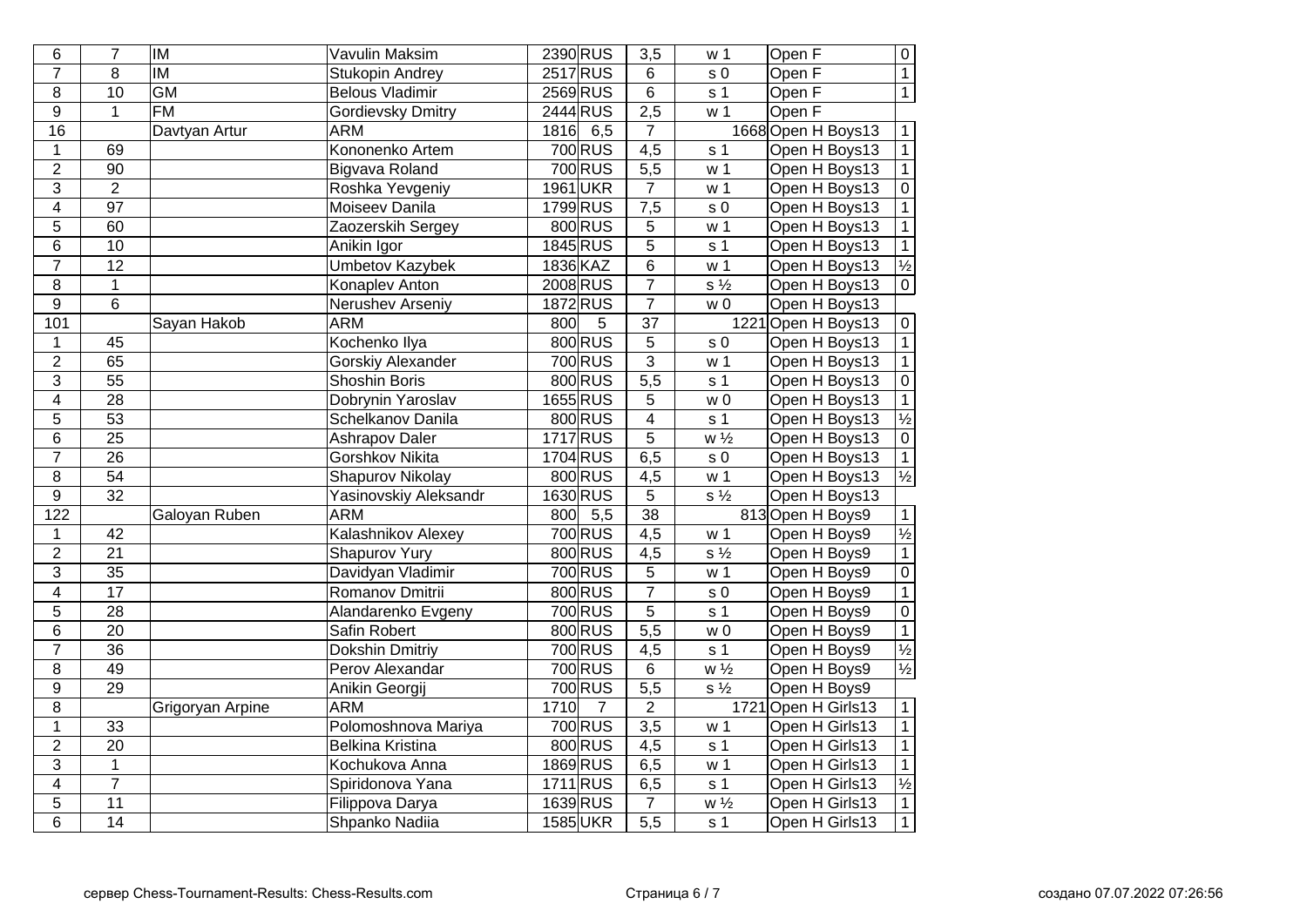| 6                | $\overline{7}$  | <b>IM</b>                | <b>Vavulin Maksim</b>    |      | 2390 RUS             | $\overline{3,5}$ | w <sub>1</sub>              | Open F              | $\overline{0}$           |
|------------------|-----------------|--------------------------|--------------------------|------|----------------------|------------------|-----------------------------|---------------------|--------------------------|
| $\overline{7}$   | $\overline{8}$  | $\overline{\mathsf{IM}}$ | Stukopin Andrey          |      | <b>2517 RUS</b>      | $\overline{6}$   | $\overline{s}$ <sub>0</sub> | Open F              | $\overline{1}$           |
| $\overline{8}$   | $\overline{10}$ | <b>GM</b>                | <b>Belous Vladimir</b>   |      | 2569 RUS             | $\overline{6}$   | s <sub>1</sub>              | Open F              | $\overline{1}$           |
| $\overline{9}$   | $\mathbf{1}$    | $\overline{FM}$          | Gordievsky Dmitry        |      | 2444 RUS             | 2,5              | w <sub>1</sub>              | Open F              |                          |
| 16               |                 | Davtyan Artur            | <b>ARM</b>               | 1816 | 6,5                  | 7                |                             | 1668 Open H Boys13  | $\mathbf{1}$             |
| $\mathbf{1}$     | 69              |                          | Kononenko Artem          |      | 700 RUS              | 4,5              | s <sub>1</sub>              | Open H Boys13       | $\mathbf 1$              |
| $\overline{2}$   | $\overline{90}$ |                          | Bigvava Roland           |      | 700 RUS              | $\overline{5,5}$ | w <sub>1</sub>              | Open H Boys13       | $\overline{1}$           |
| $\mathfrak{S}$   | $\overline{2}$  |                          | Roshka Yevgeniy          |      | 1961 UKR             | $\overline{7}$   | w <sub>1</sub>              | Open H Boys13       | $\overline{0}$           |
| $\overline{4}$   | $\overline{97}$ |                          | Moiseev Danila           |      | 1799 RUS             | 7,5              | s <sub>0</sub>              | Open H Boys13       | $\overline{1}$           |
| 5                | 60              |                          | Zaozerskih Sergey        |      | 800 RUS              | 5                | w <sub>1</sub>              | Open H Boys13       | $\overline{1}$           |
| $6\phantom{1}$   | 10              |                          | Anikin Igor              |      | $1845$ RUS           | $\overline{5}$   | s <sub>1</sub>              | Open H Boys13       | $\mathbf{1}$             |
| $\overline{7}$   | $\overline{12}$ |                          | <b>Umbetov Kazybek</b>   |      | 1836 KAZ             | $\overline{6}$   | w <sub>1</sub>              | Open H Boys13       | $\frac{1}{2}$            |
| $\bf 8$          | $\overline{1}$  |                          | Konaplev Anton           |      | 2008 RUS             | $\overline{7}$   | $s\frac{1}{2}$              | Open H Boys13       | $\overline{0}$           |
| $\overline{9}$   | $\overline{6}$  |                          | Nerushev Arseniy         |      | 1872 RUS             | $\overline{7}$   | W <sub>0</sub>              | Open H Boys13       |                          |
| 101              |                 | Sayan Hakob              | <b>ARM</b>               | 800  | 5                    | $\overline{37}$  |                             | 1221 Open H Boys13  | $\mathbf 0$              |
| $\mathbf{1}$     | 45              |                          | Kochenko Ilya            |      | 800 RUS              | $\overline{5}$   | s <sub>0</sub>              | Open H Boys13       | $\overline{1}$           |
| $\overline{2}$   | 65              |                          | <b>Gorskiy Alexander</b> |      | 700 RUS              | $\overline{3}$   | w <sub>1</sub>              | Open H Boys13       | $\mathbf{1}$             |
| $\overline{3}$   | $\overline{55}$ |                          | <b>Shoshin Boris</b>     |      | 800 RUS              | $\overline{5,5}$ | s <sub>1</sub>              | Open H Boys13       | $\overline{0}$           |
| $\overline{4}$   | $\overline{28}$ |                          | Dobrynin Yaroslav        |      | 1655 RUS             | $\overline{5}$   | W <sub>0</sub>              | Open H Boys13       | $\overline{1}$           |
| $\overline{5}$   | $\overline{53}$ |                          | Schelkanov Danila        |      | 800 RUS              | $\overline{4}$   | s <sub>1</sub>              | Open H Boys13       | $\frac{1}{2}$<br>0       |
| $\,6$            | $\overline{25}$ |                          | <b>Ashrapov Daler</b>    |      | 1717 RUS             | $\overline{5}$   | $w\frac{1}{2}$              | Open H Boys13       |                          |
| $\overline{7}$   | 26              |                          | <b>Gorshkov Nikita</b>   |      | 1704 RUS             | $\overline{6,5}$ | s <sub>0</sub>              | Open H Boys13       | $\overline{1}$           |
| $\overline{8}$   | $\overline{54}$ |                          | <b>Shapurov Nikolay</b>  |      | 800 RUS              | 4,5              | w <sub>1</sub>              | Open H Boys13       | $\overline{\frac{1}{2}}$ |
| $\overline{9}$   | $\overline{32}$ |                          | Yasinovskiy Aleksandr    |      | 1630 RUS             | $\overline{5}$   | $\overline{s\frac{1}{2}}$   | Open H Boys13       |                          |
| $\overline{122}$ |                 | Galoyan Ruben            | <b>ARM</b>               | 800  | $\overline{5,5}$     | $\overline{38}$  |                             | 813 Open H Boys9    | $\mathbf{1}$             |
| $\mathbf 1$      | 42              |                          | Kalashnikov Alexey       |      | 700 RUS              | 4,5              | w <sub>1</sub>              | Open H Boys9        | $\overline{\frac{1}{2}}$ |
| $\overline{2}$   | $\overline{21}$ |                          | <b>Shapurov Yury</b>     |      | 800 RUS              | 4,5              | $\overline{s\frac{1}{2}}$   | Open H Boys9        | $\overline{1}$           |
| $\overline{3}$   | $\overline{35}$ |                          | Davidyan Vladimir        |      | 700 RUS              | $\overline{5}$   | w <sub>1</sub>              | Open H Boys9        | $\boldsymbol{0}$         |
| $\overline{4}$   | $\overline{17}$ |                          | Romanov Dmitrii          |      | 800 RUS              | $\overline{7}$   | $\overline{s}$ 0            | Open H Boys9        | $\overline{1}$           |
| $\overline{5}$   | $\overline{28}$ |                          | Alandarenko Evgeny       |      | 700 RUS              | $\overline{5}$   | s <sub>1</sub>              | Open H Boys9        | $\overline{0}$           |
| $\overline{6}$   | $\overline{20}$ |                          | Safin Robert             |      | 800 RUS              | $\frac{1}{5,5}$  | $\overline{w}$              | Open H Boys9        | $\overline{1}$           |
| $\overline{7}$   | $\overline{36}$ |                          | <b>Dokshin Dmitriy</b>   |      | 700 RUS              | $\overline{4,5}$ | s <sub>1</sub>              | Open H Boys9        | $\frac{1}{2}$            |
| $\overline{8}$   | 49              |                          | Perov Alexandar          |      | 700 RUS              | $\overline{6}$   | $W\frac{1}{2}$              | Open H Boys9        | $\overline{\frac{1}{2}}$ |
| $\overline{9}$   | $\overline{29}$ |                          | Anikin Georgij           |      | 700 RUS              | $\overline{5,5}$ | $\overline{s\frac{1}{2}}$   | Open H Boys9        |                          |
| $\overline{8}$   |                 | Grigoryan Arpine         | <b>ARM</b>               | 1710 | $\overline{7}$       | $\overline{2}$   |                             | 1721 Open H Girls13 | $\overline{1}$           |
| $\overline{1}$   | $\overline{33}$ |                          | Polomoshnova Mariya      |      | $\overline{700}$ RUS | $\overline{3,5}$ | w <sub>1</sub>              | Open H Girls13      | $\overline{1}$           |
| $\overline{2}$   | $\overline{20}$ |                          | <b>Belkina Kristina</b>  |      | 800 RUS              | $\overline{4,5}$ | s <sub>1</sub>              | Open H Girls13      | $\overline{1}$           |
| $\overline{3}$   | $\mathbf 1$     |                          | Kochukova Anna           |      | 1869 RUS             | 6,5              | w <sub>1</sub>              | Open H Girls13      | $\mathbf{1}$             |
| $\overline{4}$   | $\overline{7}$  |                          | Spiridonova Yana         |      | 1711RUS              | 6,5              | s <sub>1</sub>              | Open H Girls13      | $\frac{1}{2}$            |
| $\overline{5}$   | $\overline{11}$ |                          | Filippova Darya          |      | 1639 RUS             | $\overline{7}$   | $W\frac{1}{2}$              | Open H Girls13      | $\mathbf{1}$             |
| $\overline{6}$   | 14              |                          | Shpanko Nadiia           |      | 1585 UKR             | $\overline{5,5}$ | s <sub>1</sub>              | Open H Girls13      | $\mathbf{1}$             |